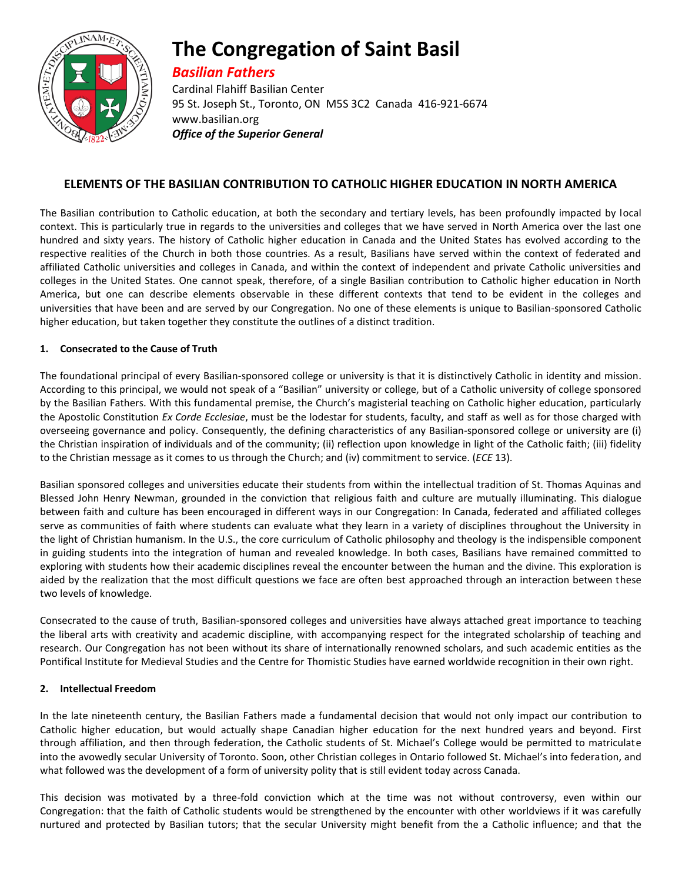

# **The Congregation of Saint Basil**

# *Basilian Fathers*

Cardinal Flahiff Basilian Center 95 St. Joseph St., Toronto, ON M5S 3C2 Canada 416-921-6674 www.basilian.org *Office of the Superior General*

## **ELEMENTS OF THE BASILIAN CONTRIBUTION TO CATHOLIC HIGHER EDUCATION IN NORTH AMERICA**

The Basilian contribution to Catholic education, at both the secondary and tertiary levels, has been profoundly impacted by local context. This is particularly true in regards to the universities and colleges that we have served in North America over the last one hundred and sixty years. The history of Catholic higher education in Canada and the United States has evolved according to the respective realities of the Church in both those countries. As a result, Basilians have served within the context of federated and affiliated Catholic universities and colleges in Canada, and within the context of independent and private Catholic universities and colleges in the United States. One cannot speak, therefore, of a single Basilian contribution to Catholic higher education in North America, but one can describe elements observable in these different contexts that tend to be evident in the colleges and universities that have been and are served by our Congregation. No one of these elements is unique to Basilian-sponsored Catholic higher education, but taken together they constitute the outlines of a distinct tradition.

## **1. Consecrated to the Cause of Truth**

The foundational principal of every Basilian-sponsored college or university is that it is distinctively Catholic in identity and mission. According to this principal, we would not speak of a "Basilian" university or college, but of a Catholic university of college sponsored by the Basilian Fathers. With this fundamental premise, the Church's magisterial teaching on Catholic higher education, particularly the Apostolic Constitution *Ex Corde Ecclesiae*, must be the lodestar for students, faculty, and staff as well as for those charged with overseeing governance and policy. Consequently, the defining characteristics of any Basilian-sponsored college or university are (i) the Christian inspiration of individuals and of the community; (ii) reflection upon knowledge in light of the Catholic faith; (iii) fidelity to the Christian message as it comes to us through the Church; and (iv) commitment to service. (*ECE* 13).

Basilian sponsored colleges and universities educate their students from within the intellectual tradition of St. Thomas Aquinas and Blessed John Henry Newman, grounded in the conviction that religious faith and culture are mutually illuminating. This dialogue between faith and culture has been encouraged in different ways in our Congregation: In Canada, federated and affiliated colleges serve as communities of faith where students can evaluate what they learn in a variety of disciplines throughout the University in the light of Christian humanism. In the U.S., the core curriculum of Catholic philosophy and theology is the indispensible component in guiding students into the integration of human and revealed knowledge. In both cases, Basilians have remained committed to exploring with students how their academic disciplines reveal the encounter between the human and the divine. This exploration is aided by the realization that the most difficult questions we face are often best approached through an interaction between these two levels of knowledge.

Consecrated to the cause of truth, Basilian-sponsored colleges and universities have always attached great importance to teaching the liberal arts with creativity and academic discipline, with accompanying respect for the integrated scholarship of teaching and research. Our Congregation has not been without its share of internationally renowned scholars, and such academic entities as the Pontifical Institute for Medieval Studies and the Centre for Thomistic Studies have earned worldwide recognition in their own right.

## **2. Intellectual Freedom**

In the late nineteenth century, the Basilian Fathers made a fundamental decision that would not only impact our contribution to Catholic higher education, but would actually shape Canadian higher education for the next hundred years and beyond. First through affiliation, and then through federation, the Catholic students of St. Michael's College would be permitted to matriculate into the avowedly secular University of Toronto. Soon, other Christian colleges in Ontario followed St. Michael's into federation, and what followed was the development of a form of university polity that is still evident today across Canada.

This decision was motivated by a three-fold conviction which at the time was not without controversy, even within our Congregation: that the faith of Catholic students would be strengthened by the encounter with other worldviews if it was carefully nurtured and protected by Basilian tutors; that the secular University might benefit from the a Catholic influence; and that the